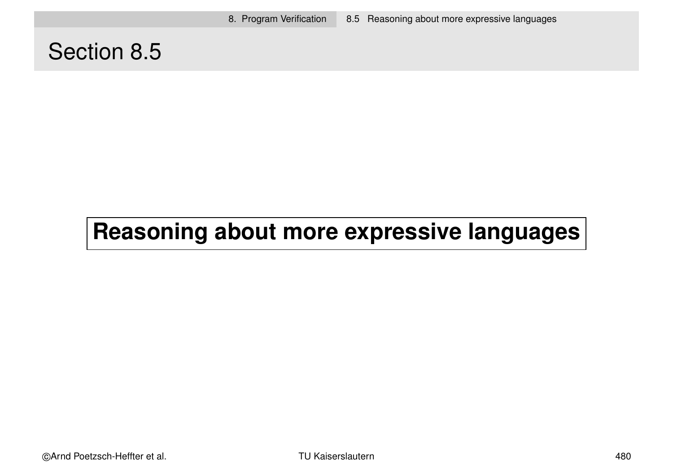8. Program Verification 8.5 Reasoning about more expressive languages

# Section 8.5

# **Reasoning about more expressive languages**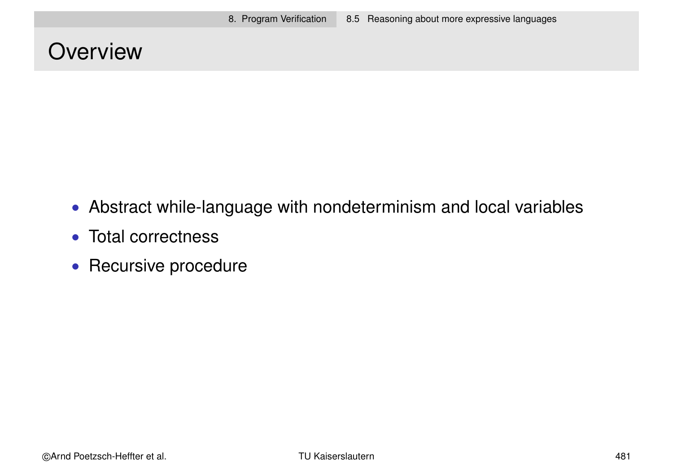# **Overview**

- Abstract while-language with nondeterminism and local variables
- Total correctness
- Recursive procedure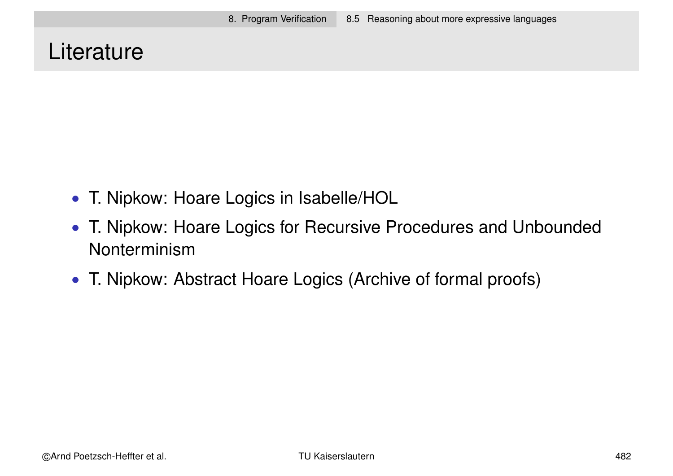# **Literature**

- T. Nipkow: Hoare Logics in Isabelle/HOL
- T. Nipkow: Hoare Logics for Recursive Procedures and Unbounded Nonterminism
- T. Nipkow: Abstract Hoare Logics (Archive of formal proofs)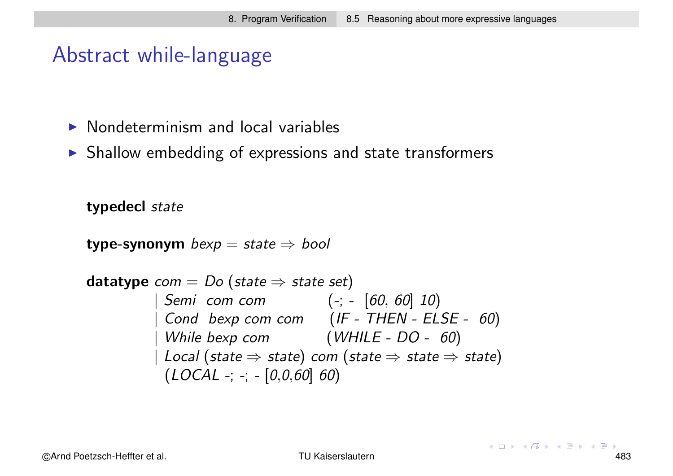### Abstract while-language

- $\triangleright$  Nondeterminism and local variables
- $\triangleright$  Shallow embedding of expressions and state transformers

typedecl state

type-synonym  $bexp = state \Rightarrow bool$ 

**datatype** 
$$
com = Do
$$
 (state  $\Rightarrow$  state set)

\n
$$
\begin{array}{rcl}\n & \text{Semi com com} & (-; - [60, 60] \ 10) \\
 & \text{Cond bexp com com} & (IF - THEN - ELSE - 60) \\
 & \text{While bexp com} & (WHILE - DO - 60) \\
 & \text{Local (state  $\Rightarrow$  state) com (state  $\Rightarrow$  state  $\Rightarrow$  state) \\
 & (LOCAL -; -; - [0, 0, 60] \ 60)\n\end{array}
$$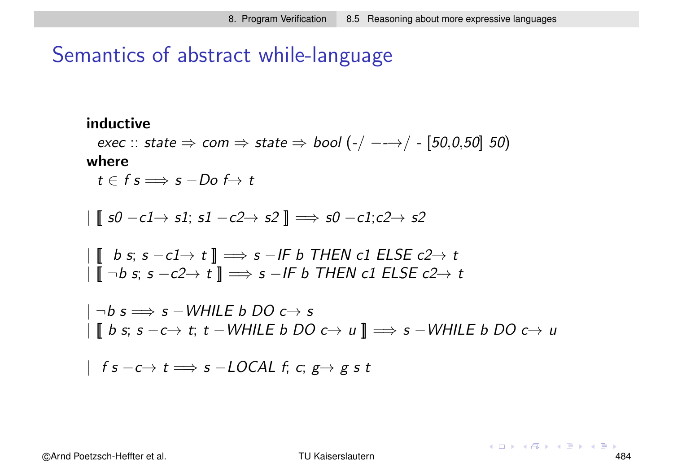### Semantics of abstract while-language

#### inductive

exec :: state  $\Rightarrow$  com  $\Rightarrow$  state  $\Rightarrow$  bool  $(-/-\rightarrow/-$  [50,0,50] 50) where

 $t \in f \text{ s} \Longrightarrow \text{ s } -D\text{ o } f \rightarrow t$ 

$$
\left| \text{ s0 }-c1 \rightarrow s1; s1 - c2 \rightarrow s2 \text{ } \right| \Longrightarrow s0 - c1; c2 \rightarrow s2
$$

$$
\begin{array}{l} \mid \llbracket \quad b \text{ s; } s - c1 \rightarrow t \rrbracket \implies s - \text{IF } b \text{ THEN } c1 \text{ ELSE } c2 \rightarrow t \\ \mid \llbracket \neg b \text{ s; } s - c2 \rightarrow t \rrbracket \implies s - \text{IF } b \text{ THEN } c1 \text{ ELSE } c2 \rightarrow t \end{array}
$$

 $|\:\neg b\: s \Longrightarrow s-\textit{WHILE}\: b\: \textit{DO}\: c{\,\rightarrow\:} s$ | [[ b s; s −c→ t; t −WHILE b DO c→ u ]] =⇒ s −WHILE b DO c→ u

$$
| \hspace{.1cm} f \hspace{.05cm} s \hspace{.02cm} -c \rightarrow t \Longrightarrow s \hspace{.02cm} -\hspace{.02cm} \textit{LOCAL} \hspace{.1cm} f \hspace{.05cm} ; \hspace{.1cm} c \hspace{.02cm} ; \hspace{.1cm} g \rightarrow g \hspace{.1cm} s \hspace{.1cm} t
$$

 $4$  ロ }  $4$   $\overline{7}$  }  $4$   $\overline{2}$  }  $4$   $\overline{2}$  }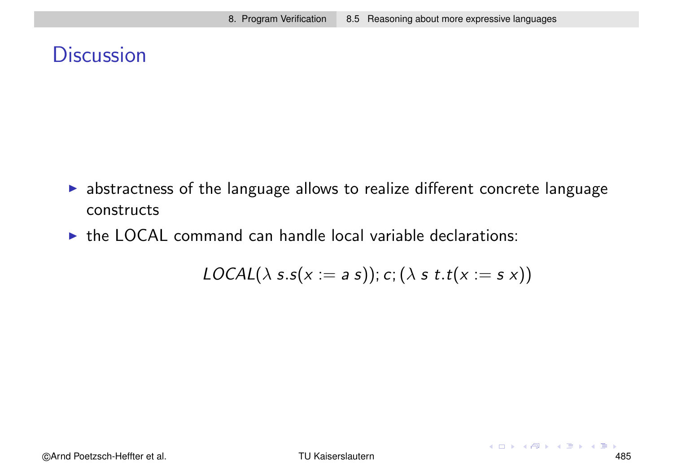# **Discussion**

- $\blacktriangleright$  abstractness of the language allows to realize different concrete language constructs
- $\triangleright$  the LOCAL command can handle local variable declarations:

$$
LOCAL(\lambda s.s(x := a s)); c; (\lambda s t.t(x := s x))
$$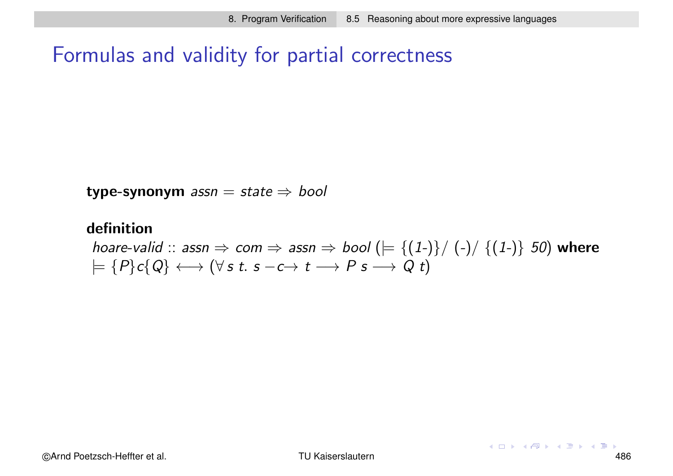## Formulas and validity for partial correctness

type-synonym  $assn = state \Rightarrow bool$ 

#### definition

hoare-valid :: assn  $\Rightarrow$  com  $\Rightarrow$  assn  $\Rightarrow$  bool ( $\models \{(1-\}\}/\{-)/\{(1-\}$  50) where  $\models \{P\}c\{Q\} \longleftrightarrow (\forall s \ t \ s -c \rightarrow t \longrightarrow P \ s \longrightarrow Q \ t)$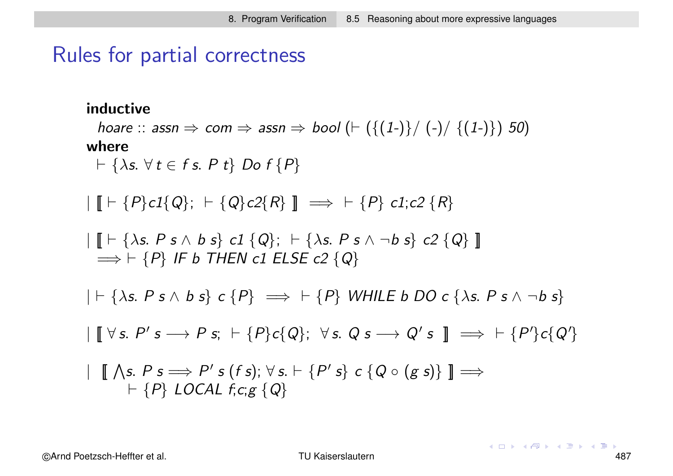### Rules for partial correctness

### inductive

hoare :: assn  $\Rightarrow$  com  $\Rightarrow$  assn  $\Rightarrow$  bool  $(\vdash (\{(1\text{-})\} / \{ (1\text{-})\})$  50) where

 $\vdash \{\lambda s. \ \forall \ t \in f \ s. \ P \ t\} \ Do \ f \ P\}$ 

 $\| \cdot \|$   $\vdash \{P\} c1\{Q\};$   $\vdash \{Q\} c2\{R\}$   $\| \implies \vdash \{P\}$  c1; c2  $\{R\}$ 

$$
\begin{array}{l} \mid \llbracket \vdash \{\lambda s. \ P \ s \land \ b \ s \} \ c1 \ \{Q\}; \ \vdash \{\lambda s. \ P \ s \land \neg b \ s \} \ c2 \ \{Q\} \ \llbracket \\ \implies \vdash \{P\} \ \textit{IF} \ \ b \ \ \textit{THEN} \ c1 \ \ \textit{ELSE} \ c2 \ \{Q\} \end{array}
$$

 $| \vdash \{\lambda s. \ P \ s \land b \ s\} \ c \ P\} \implies \vdash \{P\} \ WHILE \ b \ DO \ c \ \{\lambda s. \ P \ s \land \neg b \ s\}$ 

 $\parallel$   $[ \forall s. P's \rightarrow P s; \vdash \{P\}c\{Q\}; \forall s. Q s \rightarrow Q's \parallel \implies \vdash \{P'\}c\{Q'\}$ 

$$
\ulcorner \llbracket \bigwedge s. P s \Longrightarrow P' s (fs); \forall s. \vdash \{P's\} c \{Q \circ (g s)\} \rrbracket \Longrightarrow \\
 \vdash \{P\} \text{LOCAL } f, c, g \{Q\}
$$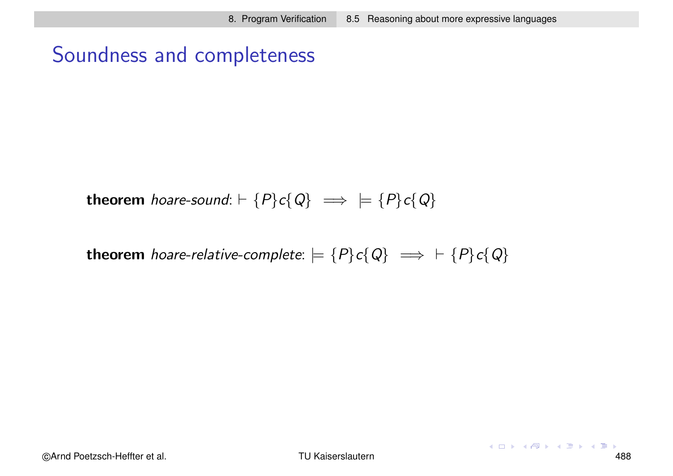## Soundness and completeness

theorem hoare-sound:  $\vdash \{P\}c\{Q\} \implies \models \{P\}c\{Q\}$ 

theorem hoare-relative-complete:  $= {P}c{Q} \implies + {P}c{Q}$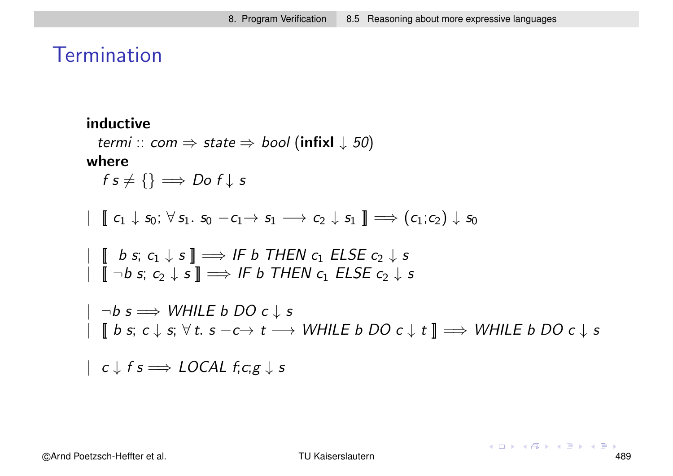## **Termination**

### inductive

```
termi :: com \Rightarrow state \Rightarrow bool (infixl \downarrow 50)
```
where

 $f s \neq \{\} \Longrightarrow Do f \downarrow s$ 

$$
\vdash \llbracket c_1 \downarrow s_0; \ \forall \, s_1. \ s_0 \ -c_1 \rightarrow s_1 \ \longrightarrow c_2 \downarrow s_1 \ \rrbracket \Longrightarrow (c_1;c_2) \downarrow s_0
$$

$$
\begin{array}{c} \parallel \!\!\!\!\!\parallel b \; s; \; c_1 \downarrow s \rrbracket \Longrightarrow \textit{IF } b \; \textit{THEN} \; c_1 \; \textit{ELSE} \; c_2 \downarrow s \\ \parallel \!\!\!\!\!\parallel \neg b \; s; \; c_2 \downarrow s \rrbracket \Longrightarrow \textit{IF } b \; \textit{THEN} \; c_1 \; \textit{ELSE} \; c_2 \downarrow s \end{array}
$$

 $|\neg b s \implies$  WHILE  $b$  DO  $c \downarrow s$  $[[b s; c \downarrow s; \forall t. s - c \rightarrow t \rightarrow WHILE b DO c \downarrow t]] \Longrightarrow WHILE b DO c \downarrow s$ 

 $| c \downarrow f s \Longrightarrow$  LOCAL  $f,c;g \downarrow s$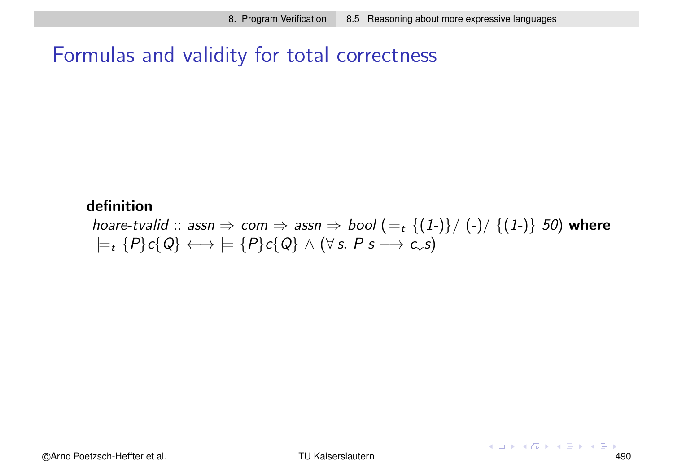## Formulas and validity for total correctness

### definition

hoare-tvalid :: assn  $\Rightarrow$  com  $\Rightarrow$  assn  $\Rightarrow$  bool  $(\models_t \{(1-\})/\ (\neg) / \{(1-\})$  50) where  $\models$ <sub>t</sub>  $\{P\}c\{Q\} \longleftrightarrow \models \{P\}c\{Q\} \wedge (\forall s. \; P \; s \longrightarrow c \downarrow s)$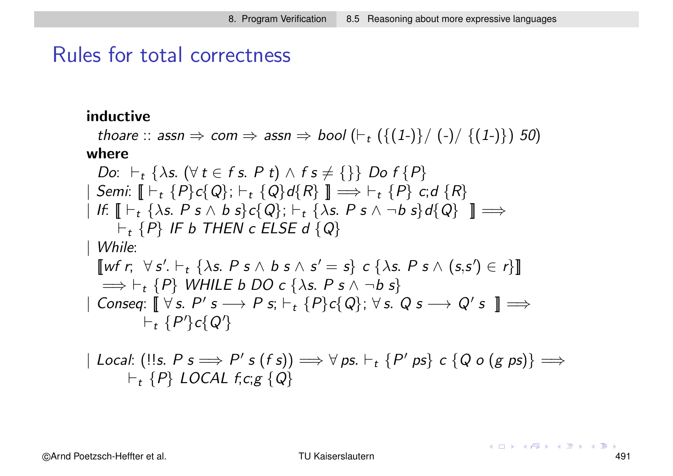### Rules for total correctness

### inductive

```
thoare :: assn \Rightarrow com \Rightarrow assn \Rightarrow bool (\vdash_t(\{(1\textrm{-})\}/\ ({\textrm{-}})/\ \{(1\textrm{-})\}) 50)
where
   Do: \vdash_t \{\lambda s. (\forall t \in f s. P t) \wedge f s \neq {\{\}} Do f \{P\}\Box Semi: \Box \vdash_t \{P\}c\{Q\}; \vdash_t \{Q\}d\{R\} \Box \Longrightarrow \vdash_t \{P\} c;d \{R\}| If: \llbracket \vdash_t \{\lambda s. \ P \ s \wedge b \ s\} c \{Q\}; \vdash_t \{\lambda s. \ P \ s \wedge \neg b \ s\} d \{Q\} \ \rrbracket \Longrightarrow\vdash_t \{P\} IF b THEN c ELSE d \{Q\}| While:
   [wf r; \forall s'. \vdash_t {\lambda s. P s \wedge b s \wedge s' = s} c {\lambda s. P s \wedge (s,s') \in r}]\Longrightarrow \vdash_t \{P\} WHILE b DO c \{\lambda s. \ P \ s \wedge \neg b \ s\}\parallel Conseq: \llbracket \forall s. P' s \longrightarrow P s; \vdash_t \{P\}c\{Q\}; \forall s. Q s \longrightarrow Q' s \rrbracket \Longrightarrow\vdash_t \{P'\}c\{Q'\}
```

$$
|\text{Local: } (!!s. P s \Longrightarrow P's (fs)) \Longrightarrow \forall ps. \vdash_t \{P' ps\} c \{Q \circ (g ps)\} \Longrightarrow
$$
  

$$
\vdash_t \{P\} \text{LOCAL } f.c.g \{Q\}
$$

©Arnd Poetzsch-Heffter et al. TU Kaiserslautern 491

 $(1, 1)$   $(1, 1)$   $(1, 1)$   $(1, 1)$   $(1, 1)$   $(1, 1)$   $(1, 1)$   $(1, 1)$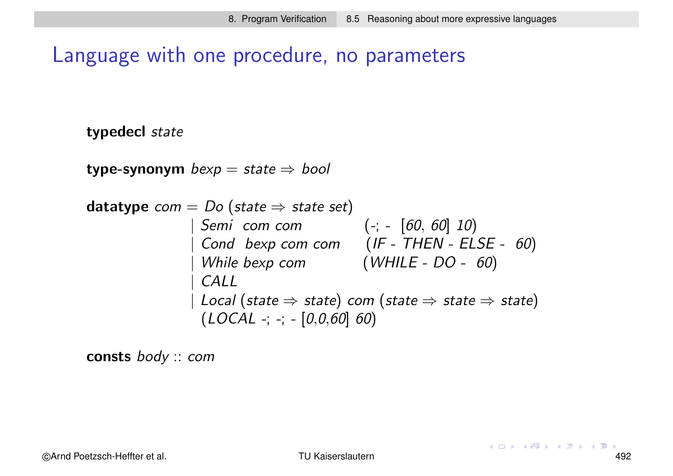## Language with one procedure, no parameters

typedecl state

type-synonym  $bexp = state \Rightarrow bool$ 

| datatype                        | com                                                                                            | Do | (state $\Rightarrow$ state set) |
|---------------------------------|------------------------------------------------------------------------------------------------|----|---------------------------------|
| $5emi$ <i>com com</i>           | (-; - [60, 60] 10)                                                                             |    |                                 |
| $Cond$ <i>bexp com</i>          | (IF - THEN - ELSE - 60)                                                                        |    |                                 |
| $While$ <i>bexp com</i>         | ( $WHILE - DO - 60$ )                                                                          |    |                                 |
| $CALL$                          | $Local$ (state $\Rightarrow$ state) <i>com</i> (state $\Rightarrow$ state $\Rightarrow$ state) |    |                                 |
| ( $LOCAL -$ ; -; - [0,0,60] 60) |                                                                                                |    |                                 |

consts body :: com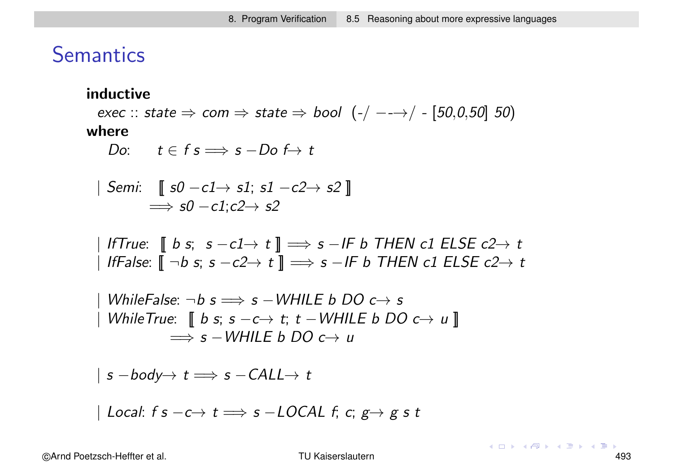### **Semantics**

#### inductive

exec :: state  $\Rightarrow$  com  $\Rightarrow$  state  $\Rightarrow$  bool  $(-/-\rightarrow/-[50,0,50]$  50) where

Do:  $t \in f \text{ s} \Longrightarrow \text{ s} - \text{Do} f \rightarrow t$ 

$$
\begin{array}{l} \n\mid \textit{Semi:} \quad \llbracket \textit{ s0 } - c1 \rightarrow s1; \textit{ s1 } - c2 \rightarrow s2 \rrbracket \\
\implies s0 - c1; c2 \rightarrow s2\n\end{array}
$$

| IfTrue:  $\left[\begin{array}{c} \!\!\! \text{b s; s -c1} \!\!\!\!\!&\to t \end{array}\right] \Longrightarrow$  s −IF b THEN c1 ELSE c2 $\to$  t  $\parallel$  IfFalse:  $\llbracket \neg b$  s; s  $-c2 \rightarrow t \rrbracket \implies$  s  $-I$ F b THEN c1 ELSE c2 $\rightarrow$  t

$$
\begin{array}{l}\n\mid \text{WhileFalse: } \neg b \text{ } s \Longrightarrow s - \text{WHILE } b \text{ } DO \text{ } c \rightarrow s \\
\mid \text{ WhileTrue: } \text{ } \llbracket \text{ } b \text{ } s; \text{ } s - c \rightarrow t; \text{ } t - \text{WHILE } b \text{ } DO \text{ } c \rightarrow u \text{ } \rrbracket \\
\Longrightarrow s - \text{WHILE } b \text{ } DO \text{ } c \rightarrow u\n\end{array}
$$

$$
| s - body \rightarrow t \Longrightarrow s - CALL \rightarrow t
$$

| Local: f s  $-c \rightarrow t \Longrightarrow s - LOCAL$  f; c; g  $\rightarrow g s t$ 

©Arnd Poetzsch-Heffter et al. TU Kaiserslautern 493

 $(1, 1)$   $(1, 1)$   $(1, 1)$   $(1, 1)$   $(1, 1)$   $(1, 1)$   $(1, 1)$   $(1, 1)$   $(1, 1)$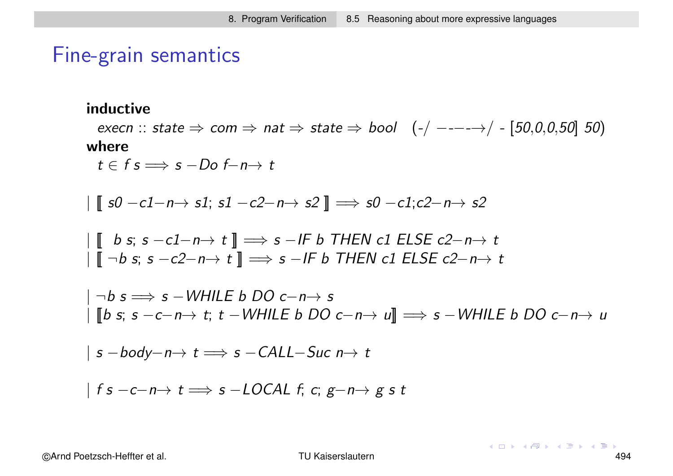### Fine-grain semantics

### inductive

execn :: state  $\Rightarrow$  com  $\Rightarrow$  nat  $\Rightarrow$  state  $\Rightarrow$  bool  $(-/----\rightarrow/-[50,0,0,50]$  50) where

 $t \in f \text{ s} \Longrightarrow \text{ s } -D\text{ o } f - n \rightarrow t$ 

$$
\mid [\![ s0 - c1 - n \rightarrow s1; s1 - c2 - n \rightarrow s2 ]\!] \Longrightarrow s0 - c1; c2 - n \rightarrow s2
$$

$$
\begin{array}{l} \mid \llbracket \quad b \text{ s; } s - c1 - n \rightarrow t \rrbracket \implies s - \text{IF } b \text{ THEN } c1 \text{ ELSE } c2 - n \rightarrow t \\ \mid \llbracket \neg b \text{ s; } s - c2 - n \rightarrow t \rrbracket \implies s - \text{IF } b \text{ THEN } c1 \text{ ELSE } c2 - n \rightarrow t \end{array}
$$

$$
|\neg b s \Longrightarrow s - \text{WHILE } b \text{ DO } c-n \rightarrow s
$$
  

$$
|\text{ [b s; s -c-n \rightarrow t; t - \text{WHILE } b \text{ DO } c-n \rightarrow u]| \Longrightarrow s - \text{WHILE } b \text{ DO } c-n \rightarrow u
$$

$$
| s - body - n \rightarrow t \Longrightarrow s - CALL-Suc n \rightarrow t
$$

$$
|fs-c-n\rightarrow t \Longrightarrow s-LOCAL \; f; \; c; \; g-n\rightarrow g \; s \; t
$$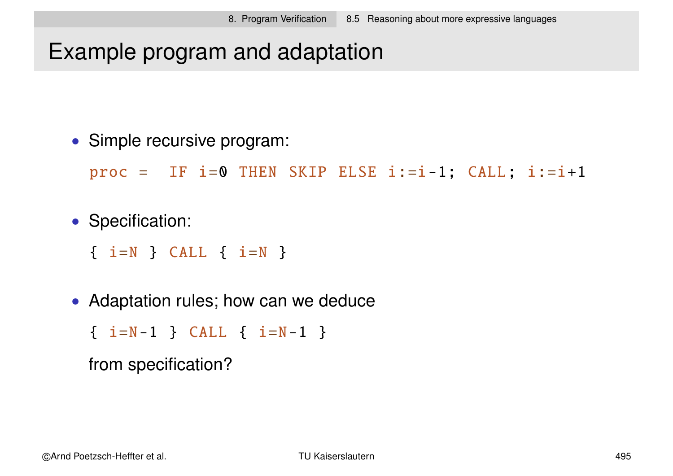# Example program and adaptation

• Simple recursive program:

 $proc = IF i=0 THEN SKIP ELSE i:=i-1; CALL; i:=i+1$ 

• Specification:

 $\{ i=N \}$  CALL  $\{ i=N \}$ 

• Adaptation rules; how can we deduce

 $\{ i=N-1 \}$  CALL  $\{ i=N-1 \}$ 

from specification?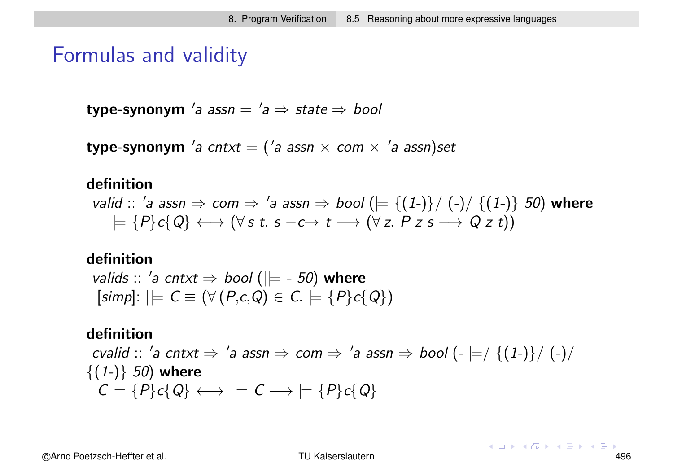### Formulas and validity

 $\tt type-synonym$  'a ass $n = 'a \Rightarrow state \Rightarrow bool$ 

 $\tt type-synonym$   $'a$   $cntxt = ( 'a \; assn \; \times \; com \; \times \; 'a \; assn)set$ 

#### definition

valid :: 'a assn  $\Rightarrow$  com  $\Rightarrow$  'a assn  $\Rightarrow$  bool  $( \models {\{(1-)\}}/{(-()}/{\{(1-)}\} )$  50) where  $\models \{P\}c\{Q\} \longleftrightarrow (\forall s \ t. \ s - c \rightarrow t \longrightarrow (\forall z. \ P \ z \ s \longrightarrow Q \ z \ t))$ 

#### definition

valids :: 'a cntxt  $\Rightarrow$  bool ( $\models$  - 50) where  $[simpl: | \models C \equiv (\forall (P,c,Q) \in C. \models \{P\}c\{Q\})$ 

#### definition

cvalid :: 'a cntxt  $\Rightarrow$  'a assn  $\Rightarrow$  com  $\Rightarrow$  'a assn  $\Rightarrow$  bool  $\left(\text{-}\models/\ \{(1\text{-})\}/\ \left(\text{-}\right)\right/$  $\{(1-)\}\,50$ ) where  $C \models \{P\}c\{Q\} \longleftrightarrow \models C \longrightarrow \models \{P\}c\{Q\}$ 

©Arnd Poetzsch-Heffter et al. TU Kaiserslautern 496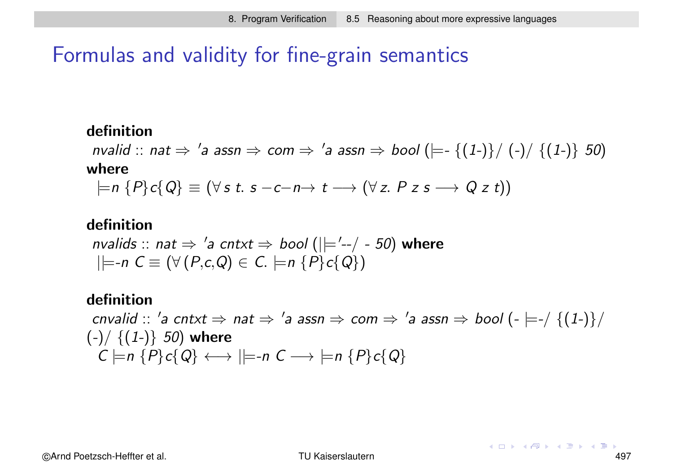## Formulas and validity for fine-grain semantics

### definition

nvalid :: nat  $\Rightarrow$  'a assn  $\Rightarrow$  com  $\Rightarrow$  'a assn  $\Rightarrow$  bool ( $\models$ - {(1-)}/ (-)/ {(1-)} 50) where

 $= n \{P\}c\{Q\} \equiv (\forall s \ t. s - c - n \rightarrow t \rightarrow (\forall z. P z s \rightarrow Q z t))$ 

### definition

nvalids :: nat  $\Rightarrow$  'a cntxt  $\Rightarrow$  bool ( $\mid \mid ='--/ - 50$ ) where  $|\models$ -n  $C \equiv (\forall (P, c, Q) \in C. \models$ n  $\{P\}c\{Q\})$ 

#### definition

 $c n$ valid  $:: '$ a cntxt  $\Rightarrow$  nat  $\Rightarrow '$ a assn  $\Rightarrow$  com  $\Rightarrow '$ a assn  $\Rightarrow$  bool  $(- \models - / \{(1-)\})$  $(-)/$  { $(1-)$ } 50) where  $C \models n \{P\}c\{Q\} \longleftrightarrow \models n C \longrightarrow \models n \{P\}c\{Q\}$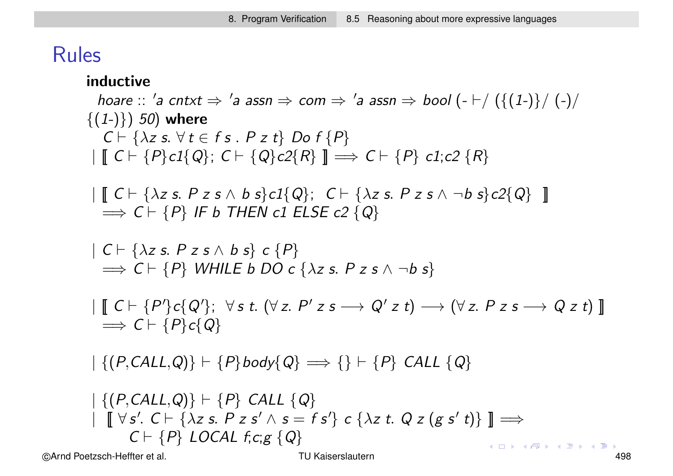## Rules

### inductive

hoare  $::$  'a cntxt  $\Rightarrow$  'a assn  $\Rightarrow$  com  $\Rightarrow$  'a assn  $\Rightarrow$  bool (-  $\vdash /$  ({(1-)}/ (-)/  $\{(1-)\}\)$  50) where  $C \vdash \{\lambda z \text{ s. } \forall t \in f \text{ s. } P z t\}$  Do  $f \{P\}$  $|\mathbf{C} \cap \{P\} c1\{Q\}; C \cap \{Q\} c2\{R\}\| \Longrightarrow C \cap \{P\} c1; c2 \{R\}$  $\parallel$   $\parallel$   $C \vdash \{\lambda z \text{ s. } P \text{ z s } \wedge \text{ b s}\}c1\{Q\};$   $C \vdash \{\lambda z \text{ s. } P \text{ z s } \wedge \neg \text{ b s}\}c2\{Q\}$   $\parallel$  $\Rightarrow$  C  $\vdash$  {P} IF b THEN c1 ELSE c2 {Q}  $| C \vdash \{\lambda z \text{ s. } P z s \land b s\} \subset \{P\}$  $\Rightarrow$  C  $\vdash$  {P} WHILE b DO c { $\lambda z$  s. P z s  $\wedge \neg b$  s}  $\left[ \begin{array}{c} \!\!\! \left[ \begin{array}{c} \!\!\! \left[ \begin{array}{c} \!\!\! \left[ \begin{array}{c} \!\!\! \left[ \begin{array}{c} \!\!\! \left[ \begin{array}{c} \!\!\! \left[ \begin{array}{c} \!\!\! \left[ \begin{array}{c} \!\!\! \left[ \begin{array}{c} \!\!\! \left[ \begin{array}{c} \!\!\! \left[ \begin{array}{c} \!\!\! \left[ \begin{array}{c} \!\!\! \left[ \begin{array}{c} \!\!\! \left[ \begin{array}{c} \!\!\! \left[ \begin{array}{c} \!\!\! \left[ \begin{array}{c}$  $\Rightarrow$  C  $\vdash$  {P}c{Q}  $|\{(P, CALL, Q)\}\vdash \{P\}$ body $\{Q\} \Longrightarrow \{\}\vdash \{P\}$  CALL  $\{Q\}$  $| \{ (P, CALL, Q) \} | \{ P \}$  CALL  $\{ Q \}$  $\left[ \begin{array}{c} \parallel \nabla s'. \ C \vdash \{\lambda z \ s. \ P \ z \ s' \land \ s = f \ s' \} \ C \ \{\lambda z \ t. \ Q \ z \ (g \ s' \ t) \} \end{array} \right] \Longrightarrow$ 

 $C \vdash \{P\}$  LOCAL  $f,c;g \{Q\}$ 

 $(1, 1)$   $(1, 1)$   $(1, 1)$   $(1, 1)$   $(1, 1)$   $(1, 1)$   $(1, 1)$   $(1, 1)$   $(1, 1)$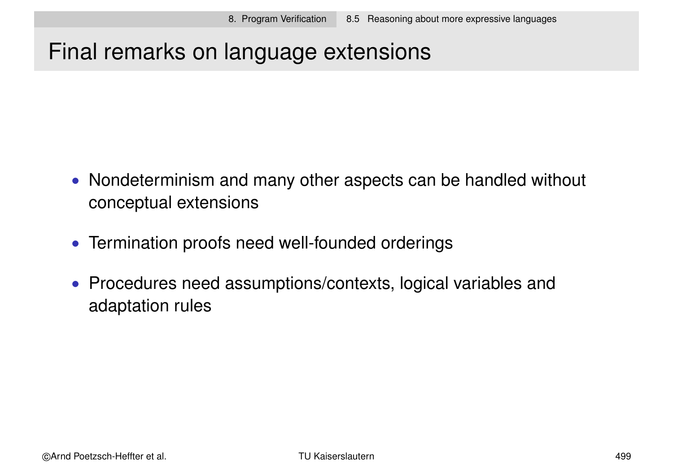# Final remarks on language extensions

- Nondeterminism and many other aspects can be handled without conceptual extensions
- Termination proofs need well-founded orderings
- Procedures need assumptions/contexts, logical variables and adaptation rules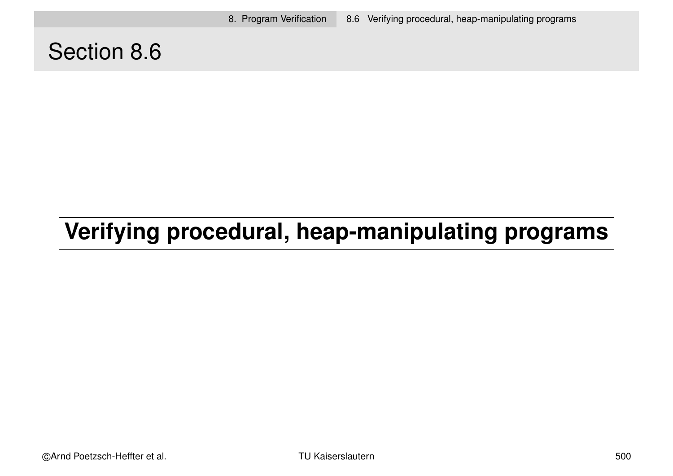8. Program Verification 8.6 Verifying procedural, heap-manipulating programs

# Section 8.6

# **Verifying procedural, heap-manipulating programs**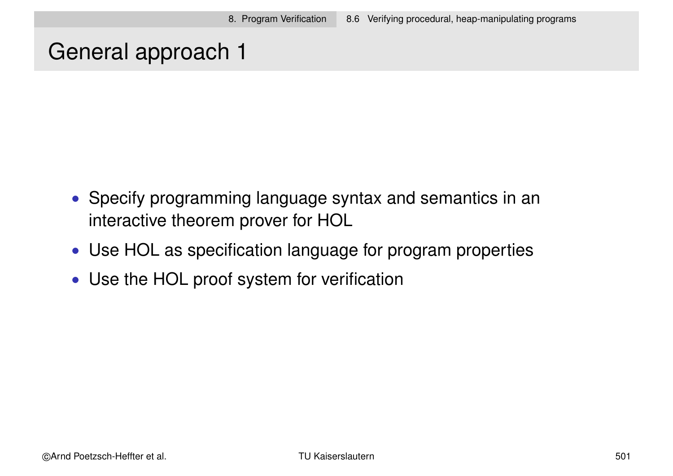# General approach 1

- Specify programming language syntax and semantics in an interactive theorem prover for HOL
- Use HOL as specification language for program properties
- Use the HOL proof system for verification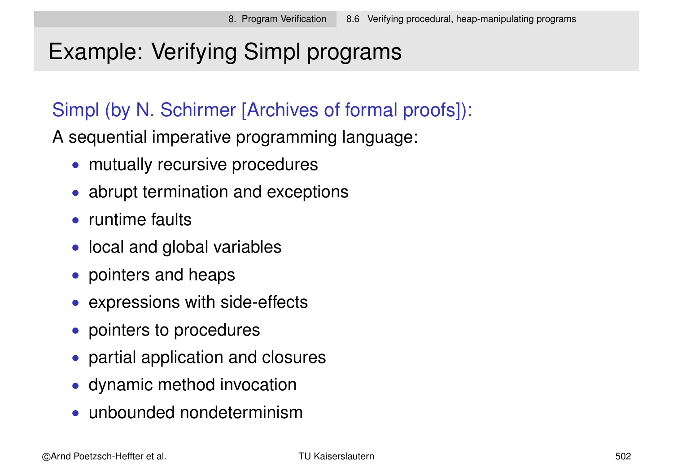# Example: Verifying Simpl programs

## Simpl (by N. Schirmer [Archives of formal proofs]):

A sequential imperative programming language:

- mutually recursive procedures
- abrupt termination and exceptions
- runtime faults
- local and global variables
- pointers and heaps
- expressions with side-effects
- pointers to procedures
- partial application and closures
- dynamic method invocation
- unbounded nondeterminism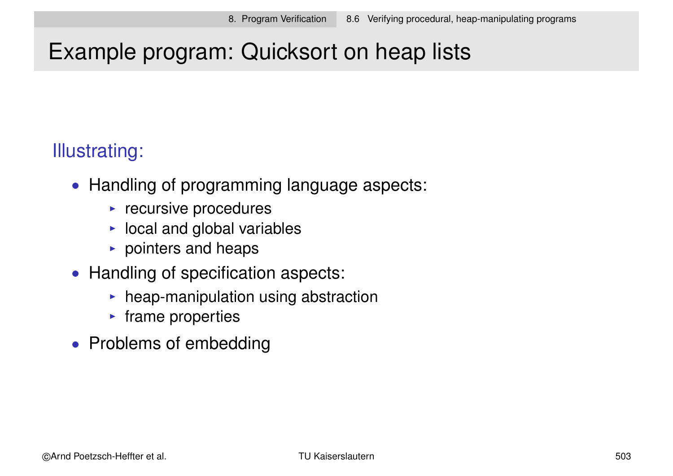# Example program: Quicksort on heap lists

# Illustrating:

- Handling of programming language aspects:
	- $\blacktriangleright$  recursive procedures
	- $\blacktriangleright$  local and global variables
	- $\triangleright$  pointers and heaps
- Handling of specification aspects:
	- $\blacktriangleright$  heap-manipulation using abstraction
	- $\blacktriangleright$  frame properties
- Problems of embedding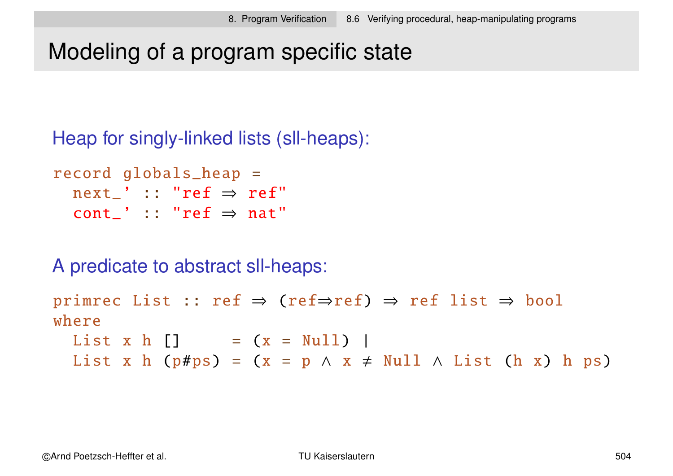# Modeling of a program specific state

Heap for singly-linked lists (sll-heaps):

```
record globals_heap =
  next_" :: "ref \Rightarrow ref"
  cont_ :: "ref \Rightarrow nat"
```
A predicate to abstract sll-heaps:

```
primrec List :: ref \Rightarrow (ref\Rightarrowref) \Rightarrow ref list \Rightarrow bool
where
  List x h [] = (x = Null) |
  List x h (p#ps) = (x = p \land x \neq Null \land List (h x) h ps)
```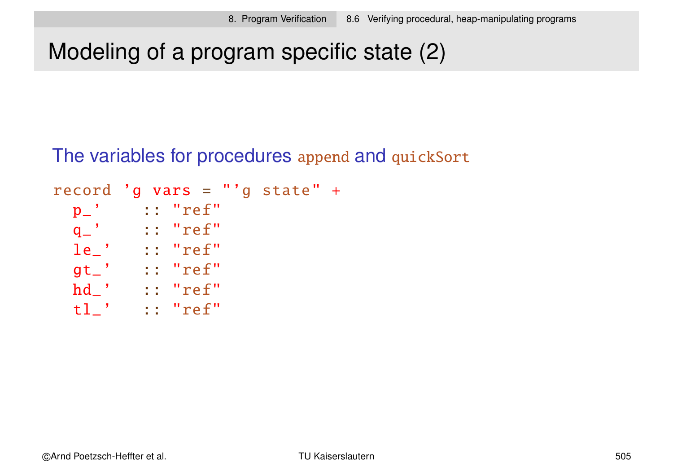# Modeling of a program specific state (2)

The variables for procedures append and quickSort

```
record 'g vars =
"'g state" +
 p_' :: "ref"
 q_' :: "ref"
 le_' :: "ref"
 gt_' :: "ref"
 hd_' :: "ref"
 tl_' :: "ref"
```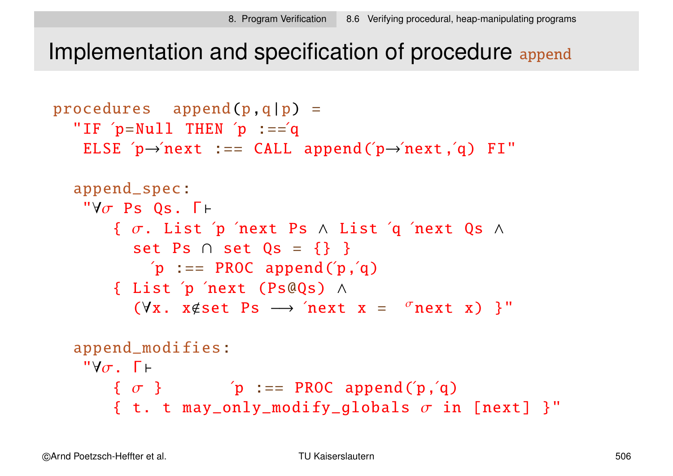Implementation and specification of procedure append

```
procedures append(p,q|p) ="IF p=Nu11 THEN p := qELSE p \rightarrow newnext :== CALL append(p \rightarrow newnext,q) FI"
    append_spec:
     "\forall \sigma Ps Os. \Gamma \vdash\{ \sigma. List 'p 'next Ps \land List 'q 'next Qs \landset Ps \cap set Qs = {} }
                  \pi :== PROC append(\pi,\alpha)
           { List ´p ´next (Ps@Qs) ∧
                (\forall x. x \notin set \; Ps \rightarrow 'next \; x = 'next \; x) }"
    append_modifies:
     "Y\sigma. \Gamma \vdash\{\sigma\} \qquad \qquad \qquad \qquad \qquad \qquad \qquad \qquad \qquad \qquad \qquad \qquad \qquad \qquad \qquad \qquad \qquad \qquad \qquad \qquad \qquad \qquad \qquad \qquad \qquad \qquad \qquad \qquad \qquad \qquad \qquad \qquad \qquad \qquad \qquad \q{ t. t may_only_modify_globals \sigma in [next] }"
```